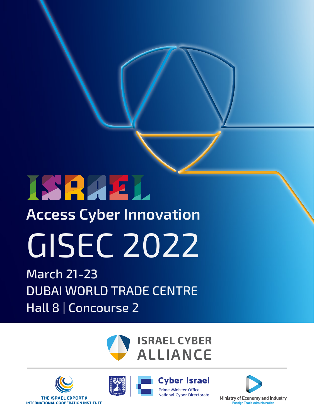# **ISRAEL**

### **Access Cyber Innovation**

# GISEC 2022

March 21-23 DUBAI WORLD TRADE CENTRE Hall 8 | Concourse 2









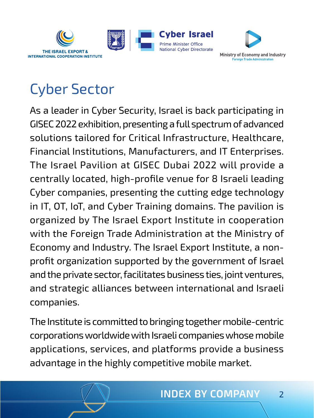



## Cyber Sector

As a leader in Cyber Security, Israel is back participating in GISEC 2022 exhibition, presenting a full spectrum of advanced solutions tailored for Critical Infrastructure, Healthcare, Financial Institutions, Manufacturers, and IT Enterprises. The Israel Pavilion at GISEC Dubai 2022 will provide a centrally located, high-profile venue for 8 Israeli leading Cyber companies, presenting the cutting edge technology in IT, OT, IoT, and Cyber Training domains. The pavilion is organized by The Israel Export Institute in cooperation with the Foreign Trade Administration at the Ministry of Economy and Industry. The Israel Export Institute, a nonprofit organization supported by the government of Israel and the private sector, facilitates business ties, joint ventures, and strategic alliances between international and Israeli companies.

The Institute is committed to bringing together mobile-centric corporations worldwide with Israeli companies whose mobile applications, services, and platforms provide a business advantage in the highly competitive mobile market.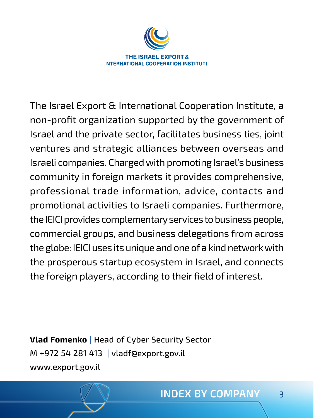

The Israel Export & International Cooperation Institute, a non-profit organization supported by the government of Israel and the private sector, facilitates business ties, joint ventures and strategic alliances between overseas and Israeli companies. Charged with promoting Israel's business community in foreign markets it provides comprehensive, professional trade information, advice, contacts and promotional activities to Israeli companies. Furthermore, the IEICI provides complementary services to business people, commercial groups, and business delegations from across the globe: IEICI uses its unique and one of a kind network with the prosperous startup ecosystem in Israel, and connects the foreign players, according to their field of interest.

**Vlad Fomenko** | Head of Cyber Security Sector M +972 54 281 413 | [vladf@export.gov.il](mailto:vladf%40export.gov.il?subject=) [www.export.gov.il](http://www.export.gov.il/en)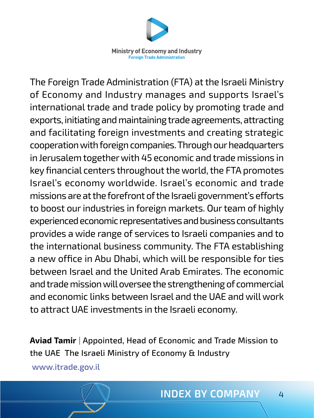

The Foreign Trade Administration (FTA) at the Israeli Ministry of Economy and Industry manages and supports Israel's international trade and trade policy by promoting trade and exports, initiating and maintaining trade agreements, attracting and facilitating foreign investments and creating strategic cooperation with foreign companies. Through our headquarters in Jerusalem together with 45 economic and trade missions in key financial centers throughout the world, the FTA promotes Israel's economy worldwide. Israel's economic and trade missions are at the forefront of the Israeli government's efforts to boost our industries in foreign markets. Our team of highly experienced economic representatives and business consultants provides a wide range of services to Israeli companies and to the international business community. The FTA establishing a new office in Abu Dhabi, which will be responsible for ties between Israel and the United Arab Emirates. The economic and trade mission will oversee the strengthening of commercial and economic links between Israel and the UAE and will work to attract UAE investments in the Israeli economy.

**Aviad Tamir** | Appointed, Head of Economic and Trade Mission to the UAE The Israeli Ministry of Economy & Industry [www.itrade.gov.il](http://www.itrade.gov.il)

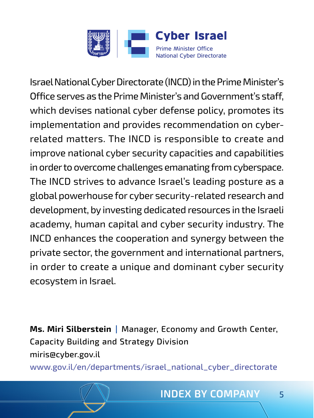

Israel National Cyber Directorate (INCD) in the Prime Minister's Office serves as the Prime Minister's and Government's staff, which devises national cyber defense policy, promotes its implementation and provides recommendation on cyberrelated matters. The INCD is responsible to create and improve national cyber security capacities and capabilities in order to overcome challenges emanating from cyberspace. The INCD strives to advance Israel's leading posture as a global powerhouse for cyber security-related research and development, by investing dedicated resources in the Israeli academy, human capital and cyber security industry. The INCD enhances the cooperation and synergy between the private sector, the government and international partners, in order to create a unique and dominant cyber security ecosystem in Israel.

**Ms. Miri Silberstein |** Manager, Economy and Growth Center, Capacity Building and Strategy Division miris@cyber.gov.il

[www.gov.il/en/departments/israel\\_national\\_cyber\\_directorate](https://www.gov.il/en/departments/israel_national_cyber_directorate/govil-landing-page)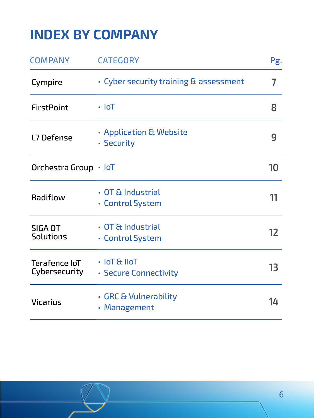### <span id="page-5-0"></span>**INDEX BY COMPANY**

| <b>COMPANY</b>                 | <b>CATEGORY</b>                             | Pg. |
|--------------------------------|---------------------------------------------|-----|
| Cympire                        | • Cyber security training & assessment      | 7   |
| <b>FirstPoint</b>              | • IoT                                       | 8   |
| L7 Defense                     | • Application & Website<br>• Security       | g   |
| Orchestra Group                | • IoT                                       | 10  |
| Radiflow                       | $\cdot$ OT & Industrial<br>• Control System | 11  |
| SIGA OT<br><b>Solutions</b>    | $\cdot$ OT & Industrial<br>• Control System | 12  |
| Terafence IoT<br>Cybersecurity | $\cdot$ IoT & IIoT<br>• Secure Connectivity | 13  |
| Vicarius                       | • GRC & Vulnerability<br>• Management       | 14  |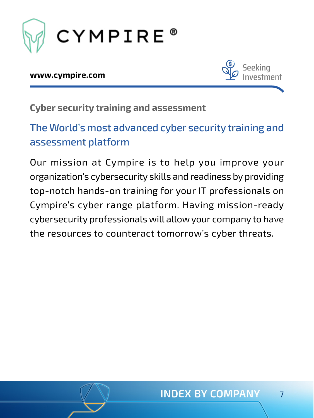<span id="page-6-0"></span>

#### **[www.cympire.com](https://cympire.com/web/guest)**



**Cyber security training and assessment**

#### The World's most advanced cyber security training and assessment platform

Our mission at Cympire is to help you improve your organization's cybersecurity skills and readiness by providing top-notch hands-on training for your IT professionals on Cympire's cyber range platform. Having mission-ready cybersecurity professionals will allow your company to have the resources to counteract tomorrow's cyber threats.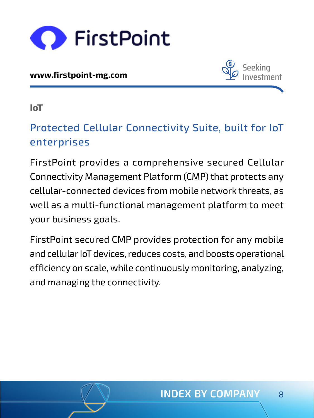<span id="page-7-0"></span>

**[www.firstpoint-mg.com](http://www.firstpoint-mg.com)**



**IoT**

#### Protected Cellular Connectivity Suite, built for IoT enterprises

FirstPoint provides a comprehensive secured Cellular Connectivity Management Platform (CMP) that protects any cellular-connected devices from mobile network threats, as well as a multi-functional management platform to meet your business goals.

FirstPoint secured CMP provides protection for any mobile and cellular IoT devices, reduces costs, and boosts operational efficiency on scale, while continuously monitoring, analyzing, and managing the connectivity.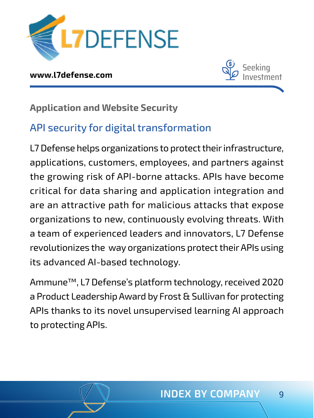<span id="page-8-0"></span>

**[www.l7defense.com](http://www.l7defense.com)**



**Application and Website Security**

#### API security for digital transformation

L7 Defense helps organizations to protect their infrastructure, applications, customers, employees, and partners against the growing risk of API-borne attacks. APIs have become critical for data sharing and application integration and are an attractive path for malicious attacks that expose organizations to new, continuously evolving threats. With a team of experienced leaders and innovators, L7 Defense revolutionizes the way organizations protect their APIs using its advanced AI-based technology.

Ammune™, L7 Defense's platform technology, received 2020 a Product Leadership Award by Frost & Sullivan for protecting APIs thanks to its novel unsupervised learning AI approach to protecting APIs.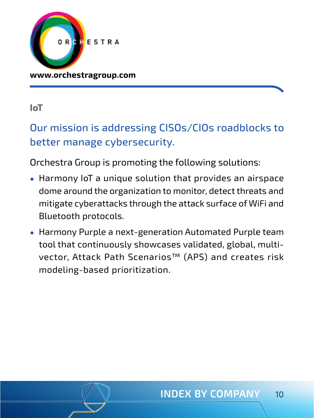<span id="page-9-0"></span>

**[www.orchestragroup.com](http://www.orchestragroup.com)**

#### **IoT**

#### Our mission is addressing CISOs/CIOs roadblocks to better manage cybersecurity.

Orchestra Group is promoting the following solutions:

- Harmony IoT a unique solution that provides an airspace dome around the organization to monitor, detect threats and mitigate cyberattacks through the attack surface of WiFi and Bluetooth protocols.
- Harmony Purple a next-generation Automated Purple team tool that continuously showcases validated, global, multivector, Attack Path Scenarios™ (APS) and creates risk modeling-based prioritization.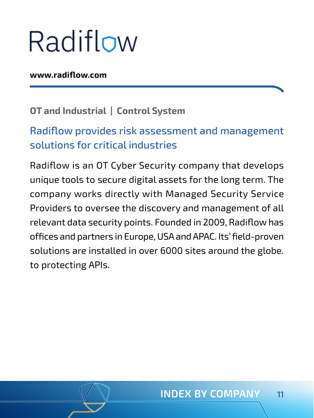## <span id="page-10-0"></span>Radiflow

#### **[www.radiflow.com](http://www.radiflow.com)**

#### **OT and Industrial | Control System**

#### Radiflow provides risk assessment and management solutions for critical industries

Radiflow is an OT Cyber Security company that develops unique tools to secure digital assets for the long term. The company works directly with Managed Security Service Providers to oversee the discovery and management of all relevant data security points. Founded in 2009, Radiflow has offices and partners in Europe, USA and APAC. Its' field-proven solutions are installed in over 6000 sites around the globe. to protecting APIs.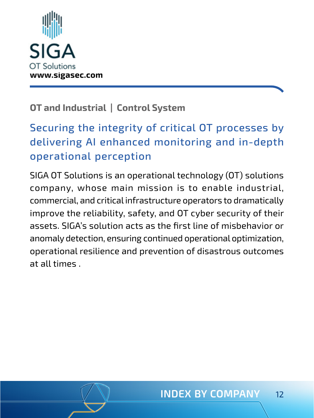<span id="page-11-0"></span>

#### **OT and Industrial | Control System**

#### Securing the integrity of critical OT processes by delivering AI enhanced monitoring and in-depth operational perception

SIGA OT Solutions is an operational technology (OT) solutions company, whose main mission is to enable industrial, commercial, and critical infrastructure operators to dramatically improve the reliability, safety, and OT cyber security of their assets. SIGA's solution acts as the first line of misbehavior or anomaly detection, ensuring continued operational optimization, operational resilience and prevention of disastrous outcomes at all times .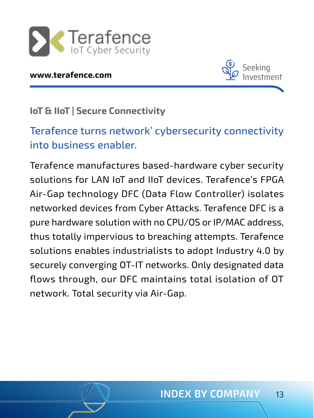<span id="page-12-0"></span>

#### **[www.terafence.com](http://www.terafence.com)**



#### **IoT & IIoT | Secure Connectivity**

#### Terafence turns network' cybersecurity connectivity into business enabler.

Terafence manufactures based-hardware cyber security solutions for LAN IoT and IIoT devices. Terafence's FPGA Air-Gap technology DFC (Data Flow Controller) isolates networked devices from Cyber Attacks. Terafence DFC is a pure hardware solution with no CPU/OS or IP/MAC address, thus totally impervious to breaching attempts. Terafence solutions enables industrialists to adopt Industry 4.0 by securely converging OT-IT networks. Only designated data flows through, our DFC maintains total isolation of OT network. Total security via Air-Gap.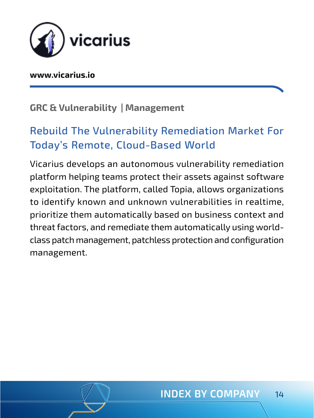<span id="page-13-0"></span>

#### **[www.vicarius.io](http://www.vicarius.io)**

#### **GRC & Vulnerability | Management**

#### Rebuild The Vulnerability Remediation Market For Today's Remote, Cloud-Based World

Vicarius develops an autonomous vulnerability remediation platform helping teams protect their assets against software exploitation. The platform, called Topia, allows organizations to identify known and unknown vulnerabilities in realtime, prioritize them automatically based on business context and threat factors, and remediate them automatically using worldclass patch management, patchless protection and configuration management.